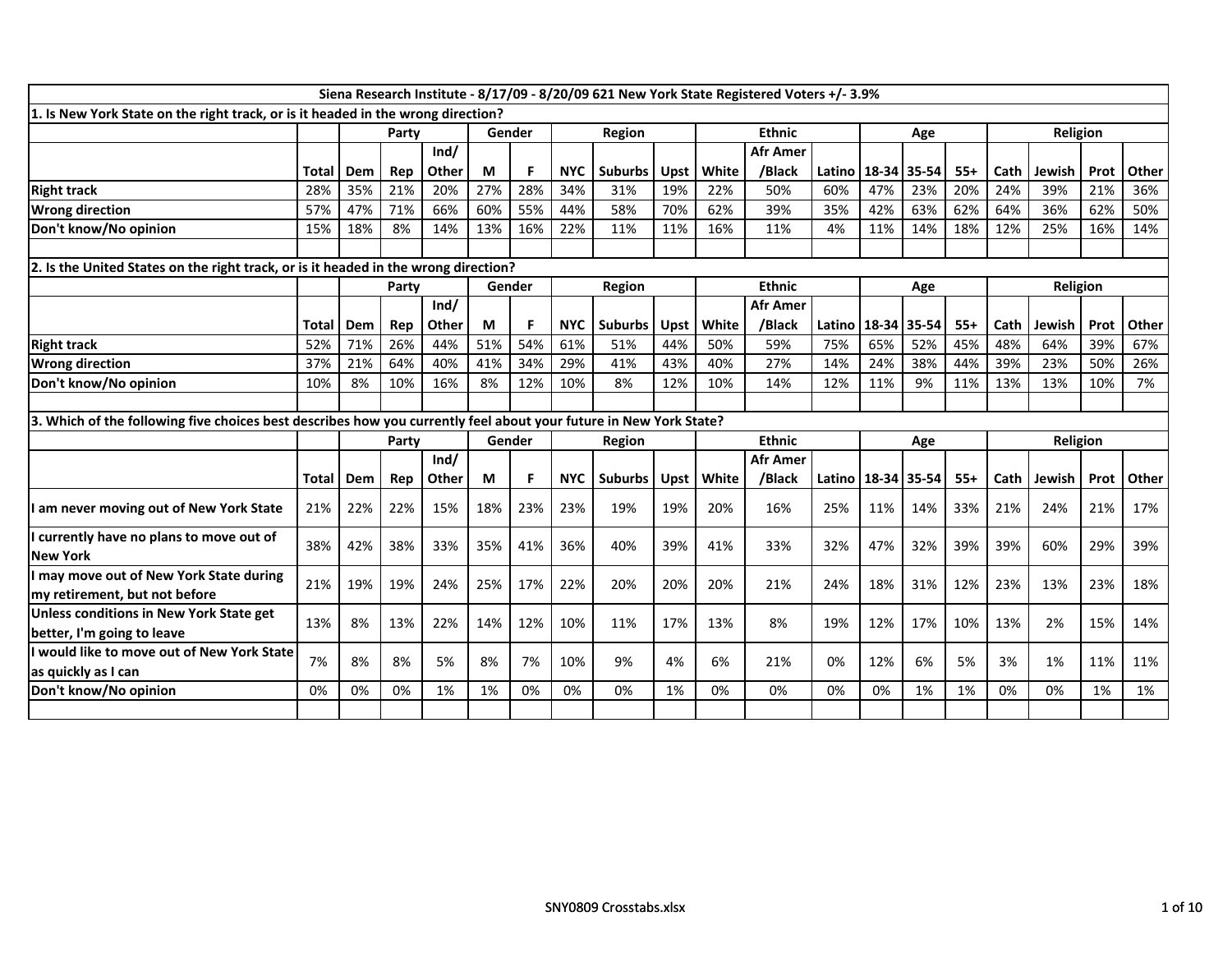| 1. Is New York State on the right track, or is it headed in the wrong direction?                                  | Siena Research Institute - 8/17/09 - 8/20/09 621 New York State Registered Voters +/- 3.9%<br><b>Ethnic</b><br>Religion<br>Gender<br>Region<br>Party |     |       |       |        |        |            |                |      |       |                 |        |             |       |       |      |          |      |       |
|-------------------------------------------------------------------------------------------------------------------|------------------------------------------------------------------------------------------------------------------------------------------------------|-----|-------|-------|--------|--------|------------|----------------|------|-------|-----------------|--------|-------------|-------|-------|------|----------|------|-------|
|                                                                                                                   |                                                                                                                                                      |     |       |       |        |        |            |                |      |       |                 |        |             | Age   |       |      |          |      |       |
|                                                                                                                   |                                                                                                                                                      |     |       | Ind/  |        |        |            |                |      |       | <b>Afr Amer</b> |        |             |       |       |      |          |      |       |
|                                                                                                                   | Total                                                                                                                                                | Dem | Rep   | Other | М      | E      | <b>NYC</b> | <b>Suburbs</b> | Upst | White | /Black          | Latino | 18-34       | 35-54 | $55+$ | Cath | Jewish   | Prot | Other |
| <b>Right track</b>                                                                                                | 28%                                                                                                                                                  | 35% | 21%   | 20%   | 27%    | 28%    | 34%        | 31%            | 19%  | 22%   | 50%             | 60%    | 47%         | 23%   | 20%   | 24%  | 39%      | 21%  | 36%   |
| <b>Wrong direction</b>                                                                                            | 57%                                                                                                                                                  | 47% | 71%   | 66%   | 60%    | 55%    | 44%        | 58%            | 70%  | 62%   | 39%             | 35%    | 42%         | 63%   | 62%   | 64%  | 36%      | 62%  | 50%   |
| Don't know/No opinion                                                                                             | 15%                                                                                                                                                  | 18% | 8%    | 14%   | 13%    | 16%    | 22%        | 11%            | 11%  | 16%   | 11%             | 4%     | 11%         | 14%   | 18%   | 12%  | 25%      | 16%  | 14%   |
|                                                                                                                   |                                                                                                                                                      |     |       |       |        |        |            |                |      |       |                 |        |             |       |       |      |          |      |       |
| 2. Is the United States on the right track, or is it headed in the wrong direction?                               |                                                                                                                                                      |     | Party |       |        | Gender |            | <b>Region</b>  |      |       | <b>Ethnic</b>   |        |             | Age   |       |      | Religion |      |       |
|                                                                                                                   |                                                                                                                                                      |     |       | Ind/  |        |        |            |                |      |       | <b>Afr Amer</b> |        |             |       |       |      |          |      |       |
|                                                                                                                   | Total                                                                                                                                                | Dem | Rep   | Other | М      | F      | <b>NYC</b> | <b>Suburbs</b> | Upst | White | /Black          | Latino | 18-34       | 35-54 | $55+$ | Cath | Jewish   | Prot | Other |
| <b>Right track</b>                                                                                                | 52%                                                                                                                                                  | 71% | 26%   | 44%   | 51%    | 54%    | 61%        | 51%            | 44%  | 50%   | 59%             | 75%    | 65%         | 52%   | 45%   | 48%  | 64%      | 39%  | 67%   |
| <b>Wrong direction</b>                                                                                            | 37%                                                                                                                                                  | 21% | 64%   | 40%   | 41%    | 34%    | 29%        | 41%            | 43%  | 40%   | 27%             | 14%    | 24%         | 38%   | 44%   | 39%  | 23%      | 50%  | 26%   |
| Don't know/No opinion                                                                                             | 10%                                                                                                                                                  | 8%  | 10%   | 16%   | 8%     | 12%    | 10%        | 8%             | 12%  | 10%   | 14%             | 12%    | 11%         | 9%    | 11%   | 13%  | 13%      | 10%  | 7%    |
|                                                                                                                   |                                                                                                                                                      |     |       |       |        |        |            |                |      |       |                 |        |             |       |       |      |          |      |       |
| 3. Which of the following five choices best describes how you currently feel about your future in New York State? |                                                                                                                                                      |     |       |       |        |        |            |                |      |       |                 |        |             |       |       |      |          |      |       |
|                                                                                                                   |                                                                                                                                                      |     | Party |       | Gender |        |            | Region         |      |       | <b>Ethnic</b>   |        |             | Age   |       |      | Religion |      |       |
|                                                                                                                   |                                                                                                                                                      |     |       | Ind/  |        |        |            |                |      |       | <b>Afr Amer</b> |        |             |       |       |      |          |      |       |
|                                                                                                                   | Total                                                                                                                                                | Dem | Rep   | Other | М      | F.     | <b>NYC</b> | <b>Suburbs</b> | Upst | White | /Black          | Latino | 18-34 35-54 |       | $55+$ | Cath | Jewish   | Prot | Other |
| am never moving out of New York State                                                                             | 21%                                                                                                                                                  | 22% | 22%   | 15%   | 18%    | 23%    | 23%        | 19%            | 19%  | 20%   | 16%             | 25%    | 11%         | 14%   | 33%   | 21%  | 24%      | 21%  | 17%   |
| I currently have no plans to move out of<br><b>New York</b>                                                       | 38%                                                                                                                                                  | 42% | 38%   | 33%   | 35%    | 41%    | 36%        | 40%            | 39%  | 41%   | 33%             | 32%    | 47%         | 32%   | 39%   | 39%  | 60%      | 29%  | 39%   |
| I may move out of New York State during<br>my retirement, but not before                                          | 21%                                                                                                                                                  | 19% | 19%   | 24%   | 25%    | 17%    | 22%        | 20%            | 20%  | 20%   | 21%             | 24%    | 18%         | 31%   | 12%   | 23%  | 13%      | 23%  | 18%   |
| Unless conditions in New York State get<br>better, I'm going to leave                                             | 13%                                                                                                                                                  | 8%  | 13%   | 22%   | 14%    | 12%    | 10%        | 11%            | 17%  | 13%   | 8%              | 19%    | 12%         | 17%   | 10%   | 13%  | 2%       | 15%  | 14%   |
| ll would like to move out of New York State<br>as quickly as I can                                                | 7%                                                                                                                                                   | 8%  | 8%    | 5%    | 8%     | 7%     | 10%        | 9%             | 4%   | 6%    | 21%             | 0%     | 12%         | 6%    | 5%    | 3%   | 1%       | 11%  | 11%   |
| Don't know/No opinion                                                                                             | 0%                                                                                                                                                   | 0%  | 0%    | 1%    | 1%     | 0%     | 0%         | 0%             | 1%   | 0%    | 0%              | 0%     | 0%          | 1%    | 1%    | 0%   | 0%       | 1%   | 1%    |
|                                                                                                                   |                                                                                                                                                      |     |       |       |        |        |            |                |      |       |                 |        |             |       |       |      |          |      |       |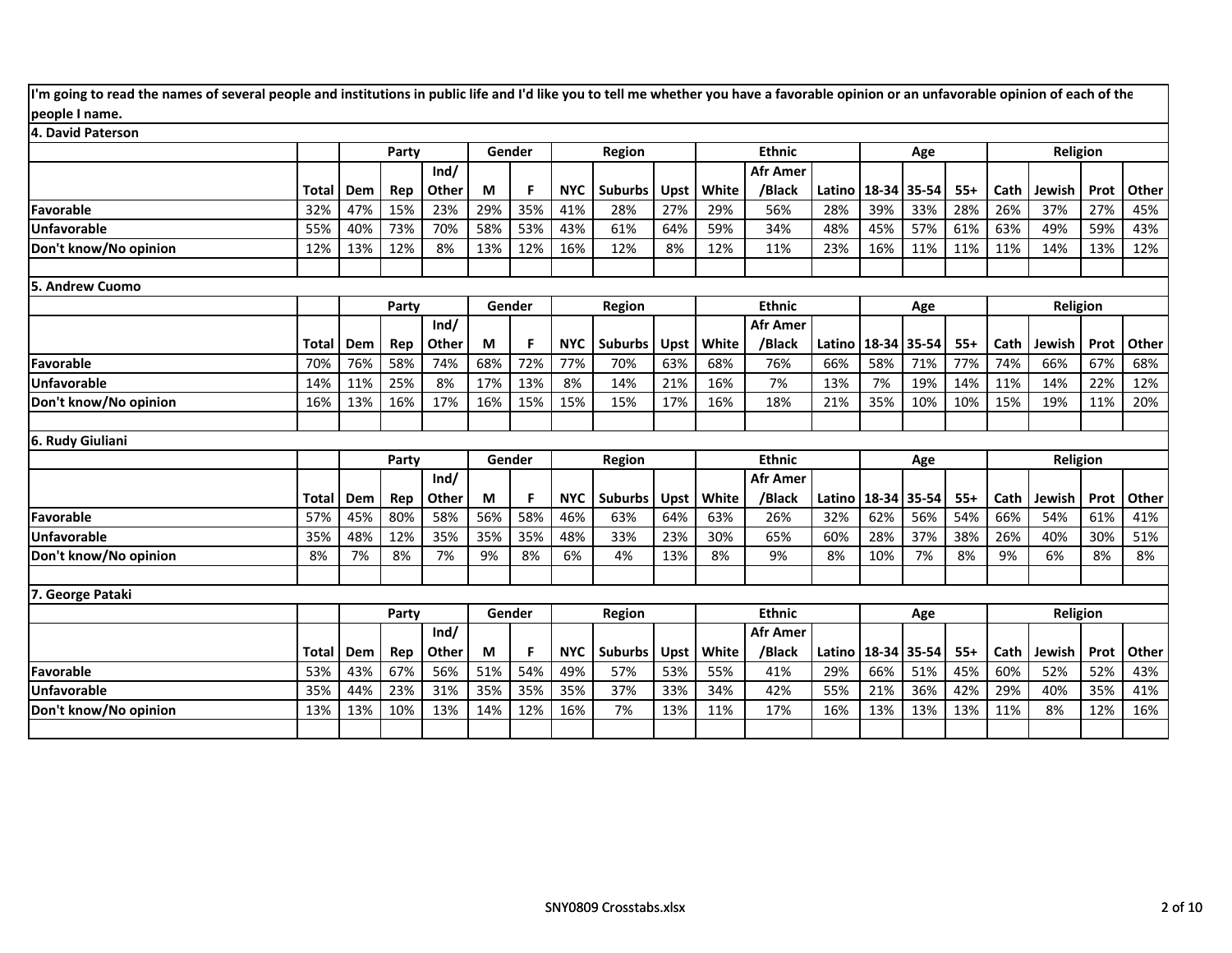| I'm going to read the names of several people and institutions in public life and I'd like you to tell me whether you have a favorable opinion or an unfavorable opinion of each of the |       |     |       |               |     |        |            |                |             |       |                           |        |       |       |       |      |          |      |       |
|-----------------------------------------------------------------------------------------------------------------------------------------------------------------------------------------|-------|-----|-------|---------------|-----|--------|------------|----------------|-------------|-------|---------------------------|--------|-------|-------|-------|------|----------|------|-------|
| people I name.                                                                                                                                                                          |       |     |       |               |     |        |            |                |             |       |                           |        |       |       |       |      |          |      |       |
| 4. David Paterson                                                                                                                                                                       |       |     |       |               |     |        |            |                |             |       |                           |        |       |       |       |      |          |      |       |
|                                                                                                                                                                                         |       |     | Party |               |     | Gender |            | Region         |             |       | <b>Ethnic</b>             |        |       | Age   |       |      | Religion |      |       |
|                                                                                                                                                                                         |       |     |       | Ind/          |     |        |            |                |             |       | <b>Afr Amer</b>           |        |       |       |       |      |          |      |       |
|                                                                                                                                                                                         | Total | Dem | Rep   | Other         | M   |        | <b>NYC</b> | <b>Suburbs</b> | Upst        | White | /Black                    | Latino | 18-34 | 35-54 | $55+$ | Cath | Jewish   | Prot | Other |
| Favorable                                                                                                                                                                               | 32%   | 47% | 15%   | 23%           | 29% | 35%    | 41%        | 28%            | 27%         | 29%   | 56%                       | 28%    | 39%   | 33%   | 28%   | 26%  | 37%      | 27%  | 45%   |
| <b>Unfavorable</b>                                                                                                                                                                      | 55%   | 40% | 73%   | 70%           | 58% | 53%    | 43%        | 61%            | 64%         | 59%   | 34%                       | 48%    | 45%   | 57%   | 61%   | 63%  | 49%      | 59%  | 43%   |
| Don't know/No opinion                                                                                                                                                                   | 12%   | 13% | 12%   | 8%            | 13% | 12%    | 16%        | 12%            | 8%          | 12%   | 11%                       | 23%    | 16%   | 11%   | 11%   | 11%  | 14%      | 13%  | 12%   |
| <b>5. Andrew Cuomo</b>                                                                                                                                                                  |       |     |       |               |     |        |            |                |             |       |                           |        |       |       |       |      |          |      |       |
|                                                                                                                                                                                         |       |     | Party |               |     | Gender |            | Region         |             |       | <b>Ethnic</b>             |        |       | Age   |       |      | Religion |      |       |
|                                                                                                                                                                                         |       |     |       | Ind/          |     |        |            |                |             |       | <b>Afr Amer</b>           |        |       |       |       |      |          |      |       |
|                                                                                                                                                                                         | Total | Dem | Rep   | Other         | M   | F      | <b>NYC</b> | Suburbs        | <b>Upst</b> | White | /Black                    | Latino | 18-34 | 35-54 | $55+$ | Cath | Jewish   | Prot | Other |
| Favorable                                                                                                                                                                               | 70%   | 76% | 58%   | 74%           | 68% | 72%    | 77%        | 70%            | 63%         | 68%   | 76%                       | 66%    | 58%   | 71%   | 77%   | 74%  | 66%      | 67%  | 68%   |
| Unfavorable                                                                                                                                                                             | 14%   | 11% | 25%   | 8%            | 17% | 13%    | 8%         | 14%            | 21%         | 16%   | 7%                        | 13%    | 7%    | 19%   | 14%   | 11%  | 14%      | 22%  | 12%   |
| Don't know/No opinion                                                                                                                                                                   | 16%   | 13% | 16%   | 17%           | 16% | 15%    | 15%        | 15%            | 17%         | 16%   | 18%                       | 21%    | 35%   | 10%   | 10%   | 15%  | 19%      | 11%  | 20%   |
|                                                                                                                                                                                         |       |     |       |               |     |        |            |                |             |       |                           |        |       |       |       |      |          |      |       |
| 6. Rudy Giuliani                                                                                                                                                                        |       |     |       |               |     |        |            |                |             |       |                           |        |       |       |       |      |          |      |       |
|                                                                                                                                                                                         |       |     | Party |               |     | Gender |            | <b>Region</b>  |             |       | <b>Ethnic</b>             |        |       | Age   |       |      | Religion |      |       |
|                                                                                                                                                                                         | Total | Dem | Rep   | Ind/<br>Other | M   | F      | <b>NYC</b> | <b>Suburbs</b> | <b>Upst</b> | White | <b>Afr Amer</b><br>/Black | Latino | 18-34 | 35-54 | $55+$ | Cath | Jewish   | Prot | Other |
| Favorable                                                                                                                                                                               | 57%   | 45% | 80%   | 58%           | 56% | 58%    | 46%        | 63%            | 64%         | 63%   | 26%                       | 32%    | 62%   | 56%   | 54%   | 66%  | 54%      | 61%  | 41%   |
| <b>Unfavorable</b>                                                                                                                                                                      | 35%   | 48% | 12%   | 35%           | 35% | 35%    | 48%        | 33%            | 23%         | 30%   | 65%                       | 60%    | 28%   | 37%   | 38%   | 26%  | 40%      | 30%  | 51%   |
| Don't know/No opinion                                                                                                                                                                   | 8%    | 7%  | 8%    | 7%            | 9%  | 8%     | 6%         | 4%             | 13%         | 8%    | 9%                        | 8%     | 10%   | 7%    | 8%    | 9%   | 6%       | 8%   | 8%    |
| 7. George Pataki                                                                                                                                                                        |       |     |       |               |     |        |            |                |             |       |                           |        |       |       |       |      |          |      |       |
|                                                                                                                                                                                         |       |     | Party |               |     | Gender |            | <b>Region</b>  |             |       | <b>Ethnic</b>             |        |       | Age   |       |      | Religion |      |       |
|                                                                                                                                                                                         |       |     |       | Ind/          |     |        |            |                |             |       | <b>Afr Amer</b>           |        |       |       |       |      |          |      |       |
|                                                                                                                                                                                         | Total | Dem | Rep   | Other         | M   | F      | <b>NYC</b> | <b>Suburbs</b> | Upst        | White | /Black                    | Latino | 18-34 | 35-54 | $55+$ | Cath | Jewish   | Prot | Other |
| Favorable                                                                                                                                                                               | 53%   | 43% | 67%   | 56%           | 51% | 54%    | 49%        | 57%            | 53%         | 55%   | 41%                       | 29%    | 66%   | 51%   | 45%   | 60%  | 52%      | 52%  | 43%   |
| <b>Unfavorable</b>                                                                                                                                                                      | 35%   | 44% | 23%   | 31%           | 35% | 35%    | 35%        | 37%            | 33%         | 34%   | 42%                       | 55%    | 21%   | 36%   | 42%   | 29%  | 40%      | 35%  | 41%   |
| Don't know/No opinion                                                                                                                                                                   | 13%   | 13% | 10%   | 13%           | 14% | 12%    | 16%        | 7%             | 13%         | 11%   | 17%                       | 16%    | 13%   | 13%   | 13%   | 11%  | 8%       | 12%  | 16%   |
|                                                                                                                                                                                         |       |     |       |               |     |        |            |                |             |       |                           |        |       |       |       |      |          |      |       |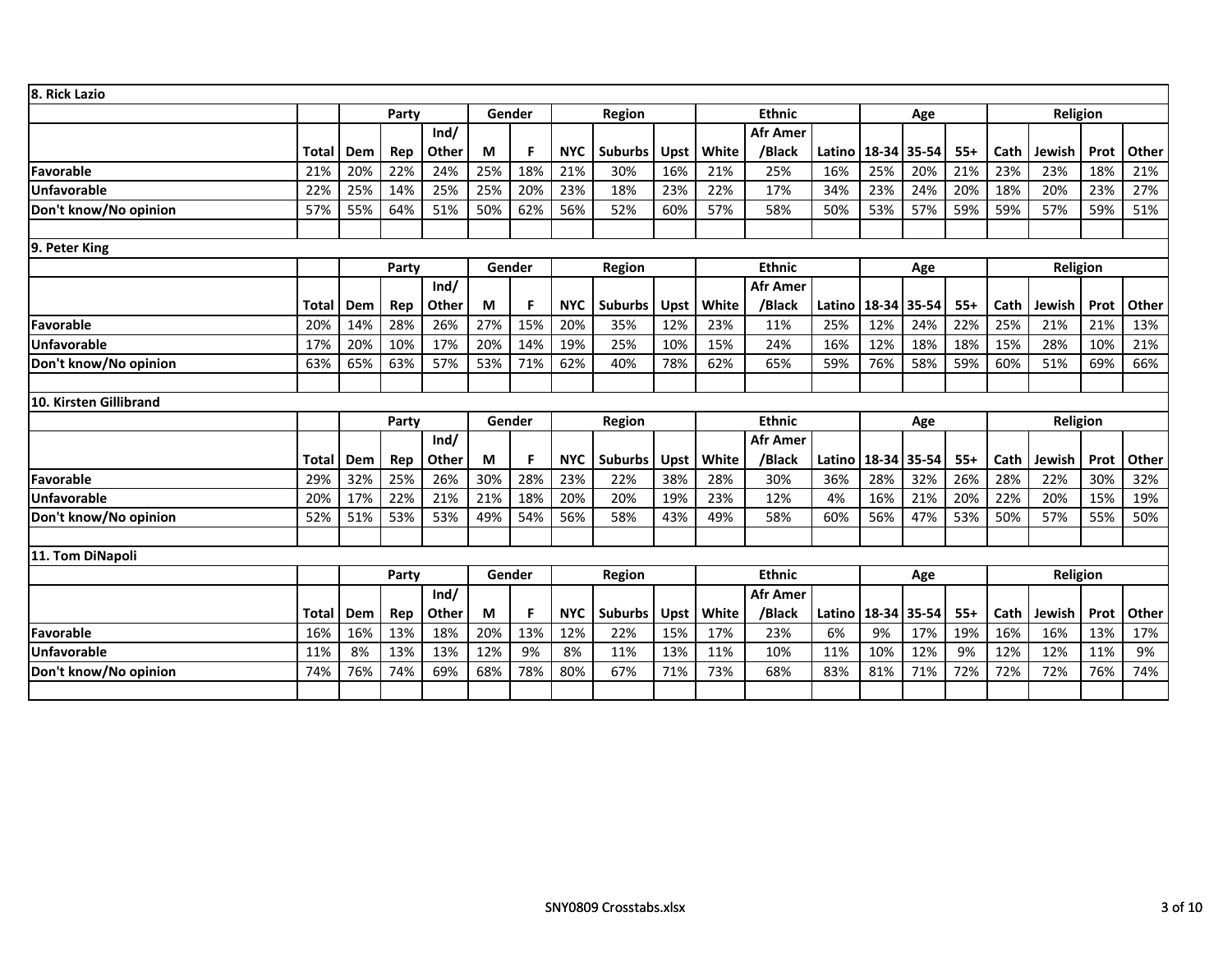| 8. Rick Lazio          |              |     |       |               |     |        |            |                |             |       |                                  |              |             |       |       |      |          |      |       |
|------------------------|--------------|-----|-------|---------------|-----|--------|------------|----------------|-------------|-------|----------------------------------|--------------|-------------|-------|-------|------|----------|------|-------|
|                        |              |     | Party |               |     | Gender |            | Region         |             |       | <b>Ethnic</b>                    |              |             | Age   |       |      | Religion |      |       |
|                        |              |     |       | Ind/          |     |        |            |                |             |       | <b>Afr Amer</b>                  |              |             |       |       |      |          |      |       |
|                        | Total        | Dem | Rep   | Other         | М   | F      | <b>NYC</b> | <b>Suburbs</b> | Upst        | White | /Black                           | Latino       | 18-34 35-54 |       | $55+$ | Cath | Jewish   | Prot | Other |
| Favorable              | 21%          | 20% | 22%   | 24%           | 25% | 18%    | 21%        | 30%            | 16%         | 21%   | 25%                              | 16%          | 25%         | 20%   | 21%   | 23%  | 23%      | 18%  | 21%   |
| <b>Unfavorable</b>     | 22%          | 25% | 14%   | 25%           | 25% | 20%    | 23%        | 18%            | 23%         | 22%   | 17%                              | 34%          | 23%         | 24%   | 20%   | 18%  | 20%      | 23%  | 27%   |
| Don't know/No opinion  | 57%          | 55% | 64%   | 51%           | 50% | 62%    | 56%        | 52%            | 60%         | 57%   | 58%                              | 50%          | 53%         | 57%   | 59%   | 59%  | 57%      | 59%  | 51%   |
| 9. Peter King          |              |     |       |               |     |        |            |                |             |       |                                  |              |             |       |       |      |          |      |       |
|                        |              |     | Party |               |     | Gender |            | <b>Region</b>  |             |       | <b>Ethnic</b>                    |              |             | Age   |       |      | Religion |      |       |
|                        |              |     |       | Ind/          |     |        |            |                |             |       | <b>Afr Amer</b>                  |              |             |       |       |      |          |      |       |
|                        | Total        | Dem | Rep   | Other         | M   | F.     | <b>NYC</b> | <b>Suburbs</b> | <b>Upst</b> | White | /Black                           | Latino       | 18-34 35-54 |       | $55+$ | Cath | Jewish   | Prot | Other |
| Favorable              | 20%          | 14% | 28%   | 26%           | 27% | 15%    | 20%        | 35%            | 12%         | 23%   | 11%                              | 25%          | 12%         | 24%   | 22%   | 25%  | 21%      | 21%  | 13%   |
| <b>Unfavorable</b>     | 17%          | 20% | 10%   | 17%           | 20% | 14%    | 19%        | 25%            | 10%         | 15%   | 24%                              | 16%          | 12%         | 18%   | 18%   | 15%  | 28%      | 10%  | 21%   |
| Don't know/No opinion  | 63%          | 65% | 63%   | 57%           | 53% | 71%    | 62%        | 40%            | 78%         | 62%   | 65%                              | 59%          | 76%         | 58%   | 59%   | 60%  | 51%      | 69%  | 66%   |
| 10. Kirsten Gillibrand |              |     |       |               |     |        |            |                |             |       |                                  |              |             |       |       |      |          |      |       |
|                        |              |     | Party |               |     | Gender |            | Region         |             |       | <b>Ethnic</b>                    |              |             | Age   |       |      | Religion |      |       |
|                        |              |     |       | Ind/          |     |        |            |                |             |       | <b>Afr Amer</b>                  |              |             |       |       |      |          |      |       |
|                        | <b>Total</b> | Dem | Rep   | Other         | M   | F.     | <b>NYC</b> | <b>Suburbs</b> | Upst        | White | /Black                           | Latino       | 18-34 35-54 |       | $55+$ | Cath | Jewish   | Prot | Other |
| Favorable              | 29%          | 32% | 25%   | 26%           | 30% | 28%    | 23%        | 22%            | 38%         | 28%   | 30%                              | 36%          | 28%         | 32%   | 26%   | 28%  | 22%      | 30%  | 32%   |
| <b>Unfavorable</b>     | 20%          | 17% | 22%   | 21%           | 21% | 18%    | 20%        | 20%            | 19%         | 23%   | 12%                              | 4%           | 16%         | 21%   | 20%   | 22%  | 20%      | 15%  | 19%   |
| Don't know/No opinion  | 52%          | 51% | 53%   | 53%           | 49% | 54%    | 56%        | 58%            | 43%         | 49%   | 58%                              | 60%          | 56%         | 47%   | 53%   | 50%  | 57%      | 55%  | 50%   |
|                        |              |     |       |               |     |        |            |                |             |       |                                  |              |             |       |       |      |          |      |       |
| 11. Tom DiNapoli       |              |     |       |               |     |        |            |                |             |       |                                  |              |             |       |       |      |          |      |       |
|                        |              |     | Party |               |     | Gender |            | Region         |             |       | <b>Ethnic</b><br><b>Afr Amer</b> |              |             | Age   |       |      | Religion |      |       |
|                        | Total        | Dem | Rep   | Ind/<br>Other | М   | F      | <b>NYC</b> | <b>Suburbs</b> | Upst        | White | /Black                           | Latino 18-34 |             | 35-54 | $55+$ | Cath | Jewish   | Prot | Other |
| Favorable              | 16%          | 16% | 13%   | 18%           | 20% | 13%    | 12%        | 22%            | 15%         | 17%   | 23%                              | 6%           | 9%          | 17%   | 19%   | 16%  | 16%      | 13%  | 17%   |
| <b>Unfavorable</b>     | 11%          | 8%  | 13%   | 13%           | 12% | 9%     | 8%         | 11%            | 13%         | 11%   | 10%                              | 11%          | 10%         | 12%   | 9%    | 12%  | 12%      | 11%  | 9%    |
| Don't know/No opinion  | 74%          | 76% | 74%   | 69%           | 68% | 78%    | 80%        | 67%            | 71%         | 73%   | 68%                              | 83%          | 81%         | 71%   | 72%   | 72%  | 72%      | 76%  | 74%   |
|                        |              |     |       |               |     |        |            |                |             |       |                                  |              |             |       |       |      |          |      |       |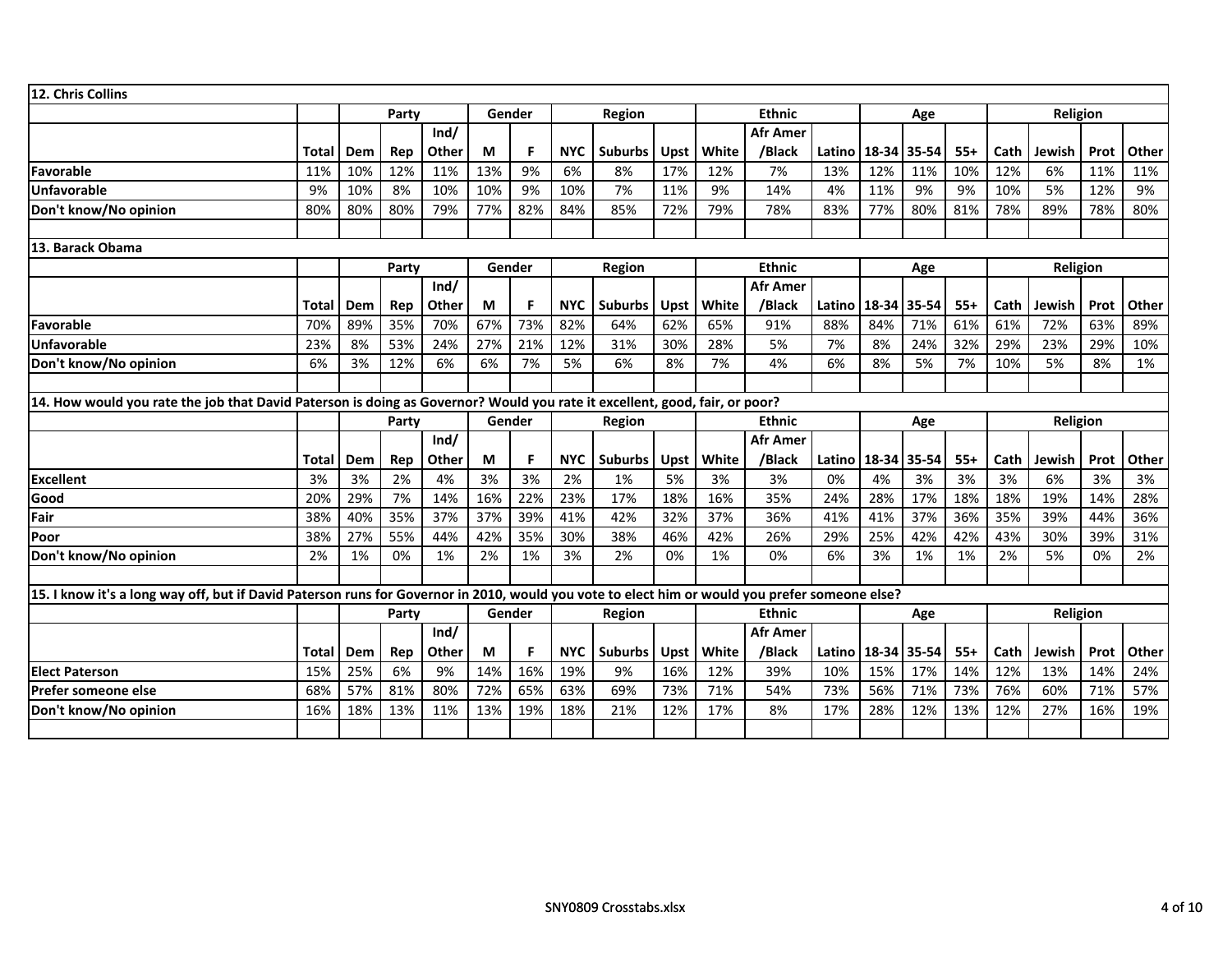| 12. Chris Collins                                                                                                                              |              |     |                                                |       |        |        |            |                |             |       |                           |        |             |       |       |      |          |      |       |
|------------------------------------------------------------------------------------------------------------------------------------------------|--------------|-----|------------------------------------------------|-------|--------|--------|------------|----------------|-------------|-------|---------------------------|--------|-------------|-------|-------|------|----------|------|-------|
|                                                                                                                                                |              |     | Party                                          |       | Gender |        |            | Region         |             |       | <b>Ethnic</b>             |        |             | Age   |       |      | Religion |      |       |
|                                                                                                                                                |              |     |                                                | Ind/  |        |        |            |                |             |       | <b>Afr Amer</b>           |        |             |       |       |      |          |      |       |
|                                                                                                                                                | Total        | Dem | Rep                                            | Other | М      | F.     | <b>NYC</b> | <b>Suburbs</b> | <b>Upst</b> | White | /Black                    | Latino | 18-34       | 35-54 | $55+$ | Cath | Jewish   | Prot | Other |
| Favorable                                                                                                                                      | 11%          | 10% | 12%                                            | 11%   | 13%    | 9%     | 6%         | 8%             | 17%         | 12%   | 7%                        | 13%    | 12%         | 11%   | 10%   | 12%  | 6%       | 11%  | 11%   |
| Unfavorable                                                                                                                                    | 9%           | 10% | 8%                                             | 10%   | 10%    | 9%     | 10%        | 7%             | 11%         | 9%    | 14%                       | 4%     | 11%         | 9%    | 9%    | 10%  | 5%       | 12%  | 9%    |
| Don't know/No opinion                                                                                                                          | 80%          | 80% | 80%                                            | 79%   | 77%    | 82%    | 84%        | 85%            | 72%         | 79%   | 78%                       | 83%    | 77%         | 80%   | 81%   | 78%  | 89%      | 78%  | 80%   |
|                                                                                                                                                |              |     |                                                |       |        |        |            |                |             |       |                           |        |             |       |       |      |          |      |       |
| 13. Barack Obama                                                                                                                               |              |     |                                                |       |        |        |            |                |             |       |                           |        |             |       |       |      |          |      |       |
|                                                                                                                                                |              |     | Party                                          |       | Gender |        |            | Region         |             |       | <b>Ethnic</b>             |        |             | Age   |       |      | Religion |      |       |
|                                                                                                                                                | Total        | Dem | Ind/<br>Other<br>M<br>Rep<br>70%<br>35%<br>67% |       |        |        | <b>NYC</b> | <b>Suburbs</b> | Upst        | White | <b>Afr Amer</b><br>/Black | Latino | 18-34 35-54 |       | $55+$ | Cath | Jewish   | Prot | Other |
| Favorable                                                                                                                                      | 70%          | 89% |                                                |       |        | 73%    | 82%        | 64%            | 62%         | 65%   | 91%                       | 88%    | 84%         | 71%   | 61%   | 61%  | 72%      | 63%  | 89%   |
| <b>Unfavorable</b>                                                                                                                             | 23%          | 8%  | 53%                                            | 24%   | 27%    | 21%    | 12%        | 31%            | 30%         | 28%   | 5%                        | 7%     | 8%          | 24%   | 32%   | 29%  | 23%      | 29%  | 10%   |
| Don't know/No opinion                                                                                                                          | 6%           | 3%  | 12%                                            | 6%    | 6%     | 7%     | 5%         | 6%             | 8%          | 7%    | 4%                        | 6%     | 8%          | 5%    | 7%    | 10%  | 5%       | 8%   | 1%    |
|                                                                                                                                                |              |     |                                                |       |        |        |            |                |             |       |                           |        |             |       |       |      |          |      |       |
| 14. How would you rate the job that David Paterson is doing as Governor? Would you rate it excellent, good, fair, or poor?                     |              |     |                                                |       |        |        |            |                |             |       |                           |        |             |       |       |      |          |      |       |
|                                                                                                                                                |              |     | Party                                          |       |        | Gender |            | Region         |             |       | <b>Ethnic</b>             |        |             | Age   |       |      | Religion |      |       |
|                                                                                                                                                |              |     |                                                |       |        |        |            |                |             |       |                           |        |             |       |       |      |          |      |       |
|                                                                                                                                                |              |     |                                                | Ind/  |        |        |            |                |             |       | <b>Afr Amer</b>           |        |             |       |       |      |          |      |       |
|                                                                                                                                                | <b>Total</b> | Dem | Rep                                            | Other | М      | F      | <b>NYC</b> | <b>Suburbs</b> | Upst        | White | /Black                    | Latino | 18-34       | 35-54 | $55+$ | Cath | Jewish   | Prot | Other |
| <b>Excellent</b>                                                                                                                               | 3%           | 3%  | 2%                                             | 4%    | 3%     | 3%     | 2%         | 1%             | 5%          | 3%    | 3%                        | 0%     | 4%          | 3%    | 3%    | 3%   | 6%       | 3%   | 3%    |
| Good                                                                                                                                           | 20%          | 29% | 7%                                             | 14%   | 16%    | 22%    | 23%        | 17%            | 18%         | 16%   | 35%                       | 24%    | 28%         | 17%   | 18%   | 18%  | 19%      | 14%  | 28%   |
| Fair                                                                                                                                           | 38%          | 40% | 35%                                            | 37%   | 37%    | 39%    | 41%        | 42%            | 32%         | 37%   | 36%                       | 41%    | 41%         | 37%   | 36%   | 35%  | 39%      | 44%  | 36%   |
| Poor                                                                                                                                           | 38%          | 27% | 55%                                            | 44%   | 42%    | 35%    | 30%        | 38%            | 46%         | 42%   | 26%                       | 29%    | 25%         | 42%   | 42%   | 43%  | 30%      | 39%  | 31%   |
| Don't know/No opinion                                                                                                                          | 2%           | 1%  | 0%                                             | 1%    | 2%     | 1%     | 3%         | 2%             | 0%          | 1%    | 0%                        | 6%     | 3%          | 1%    | 1%    | 2%   | 5%       | 0%   | 2%    |
|                                                                                                                                                |              |     |                                                |       |        |        |            |                |             |       |                           |        |             |       |       |      |          |      |       |
| 15. I know it's a long way off, but if David Paterson runs for Governor in 2010, would you vote to elect him or would you prefer someone else? |              |     |                                                |       |        |        |            |                |             |       |                           |        |             |       |       |      |          |      |       |
|                                                                                                                                                |              |     | Party                                          |       | Gender |        |            | Region         |             |       | <b>Ethnic</b>             |        |             | Age   |       |      | Religion |      |       |
|                                                                                                                                                |              |     |                                                | Ind/  |        |        |            |                |             |       | <b>Afr Amer</b>           |        |             |       |       |      |          |      |       |
|                                                                                                                                                | Total        | Dem | Rep                                            | Other | М      | F.     | <b>NYC</b> | <b>Suburbs</b> | Upst        | White | /Black                    | Latino | 18-34       | 35-54 | $55+$ | Cath | Jewish   | Prot | Other |
| <b>Elect Paterson</b>                                                                                                                          | 15%          | 25% | 6%                                             | 9%    | 14%    | 16%    | 19%        | 9%             | 16%         | 12%   | 39%                       | 10%    | 15%         | 17%   | 14%   | 12%  | 13%      | 14%  | 24%   |
| Prefer someone else                                                                                                                            | 68%          | 57% | 81%                                            | 80%   | 72%    | 65%    | 63%        | 69%            | 73%         | 71%   | 54%                       | 73%    | 56%         | 71%   | 73%   | 76%  | 60%      | 71%  | 57%   |
| Don't know/No opinion                                                                                                                          | 16%          | 18% | 13%                                            | 11%   | 13%    | 19%    | 18%        | 21%            | 12%         | 17%   | 8%                        | 17%    | 28%         | 12%   | 13%   | 12%  | 27%      | 16%  | 19%   |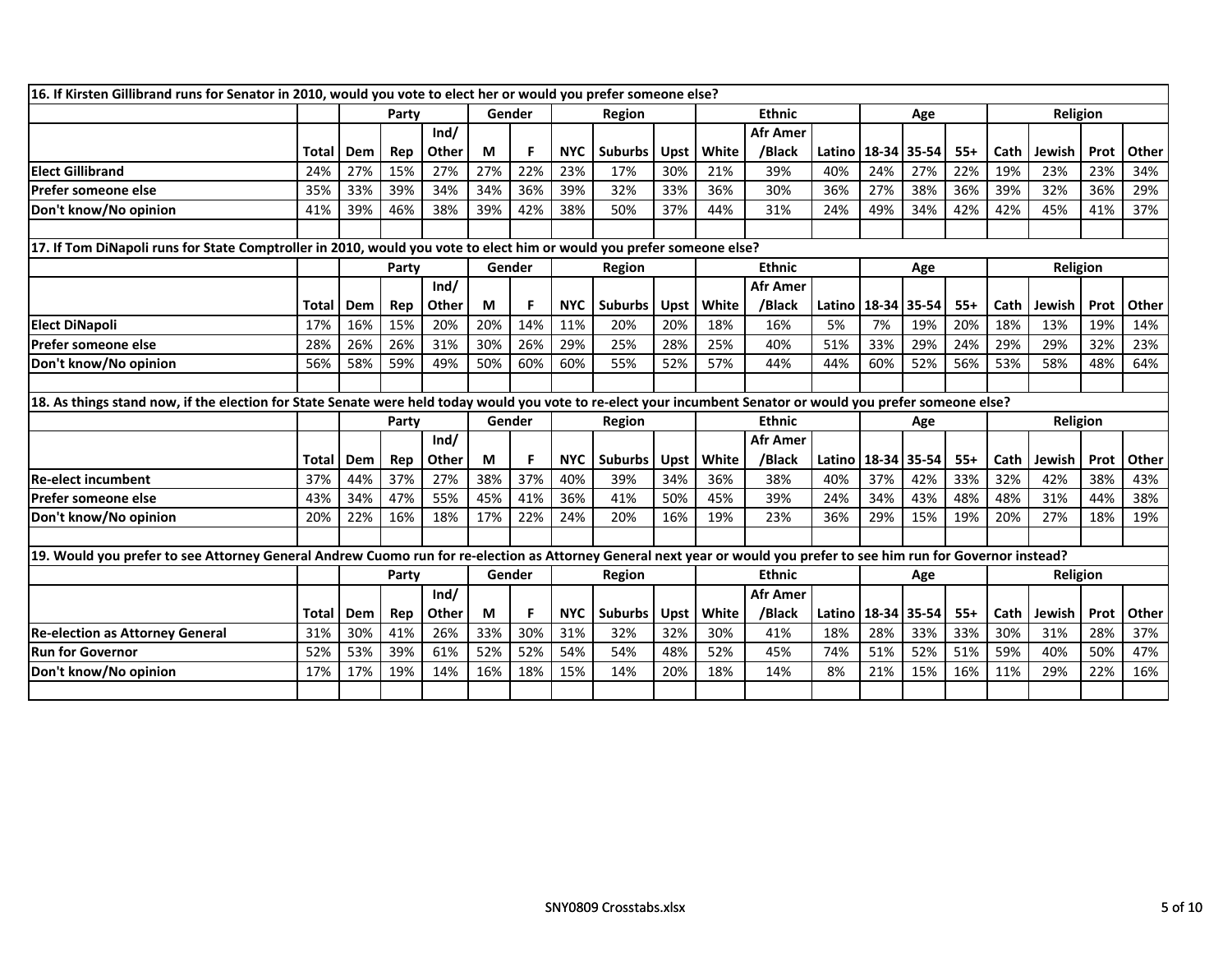| 16. If Kirsten Gillibrand runs for Senator in 2010, would you vote to elect her or would you prefer someone else?                                                    |       |     |       |       |     |        |            |                |             |       |                 |                        |     |       |       |      |          |      |       |
|----------------------------------------------------------------------------------------------------------------------------------------------------------------------|-------|-----|-------|-------|-----|--------|------------|----------------|-------------|-------|-----------------|------------------------|-----|-------|-------|------|----------|------|-------|
|                                                                                                                                                                      |       |     | Party |       |     | Gender |            | Region         |             |       | <b>Ethnic</b>   |                        |     | Age   |       |      | Religion |      |       |
|                                                                                                                                                                      |       |     |       | Ind/  |     |        |            |                |             |       | <b>Afr Amer</b> |                        |     |       |       |      |          |      |       |
|                                                                                                                                                                      | Total | Dem | Rep   | Other | М   | F.     | <b>NYC</b> | <b>Suburbs</b> | <b>Upst</b> | White | /Black          | Latino   18-34   35-54 |     |       | $55+$ | Cath | Jewish   | Prot | Other |
| <b>Elect Gillibrand</b>                                                                                                                                              | 24%   | 27% | 15%   | 27%   | 27% | 22%    | 23%        | 17%            | 30%         | 21%   | 39%             | 40%                    | 24% | 27%   | 22%   | 19%  | 23%      | 23%  | 34%   |
| Prefer someone else                                                                                                                                                  | 35%   | 33% | 39%   | 34%   | 34% | 36%    | 39%        | 32%            | 33%         | 36%   | 30%             | 36%                    | 27% | 38%   | 36%   | 39%  | 32%      | 36%  | 29%   |
| Don't know/No opinion                                                                                                                                                | 41%   | 39% | 46%   | 38%   | 39% | 42%    | 38%        | 50%            | 37%         | 44%   | 31%             | 24%                    | 49% | 34%   | 42%   | 42%  | 45%      | 41%  | 37%   |
|                                                                                                                                                                      |       |     |       |       |     |        |            |                |             |       |                 |                        |     |       |       |      |          |      |       |
| 17. If Tom DiNapoli runs for State Comptroller in 2010, would you vote to elect him or would you prefer someone else?                                                |       |     |       |       |     |        |            |                |             |       |                 |                        |     |       |       |      |          |      |       |
|                                                                                                                                                                      |       |     | Party |       |     | Gender |            | Region         |             |       | <b>Ethnic</b>   |                        |     | Age   |       |      | Religion |      |       |
|                                                                                                                                                                      |       |     |       | Ind/  |     |        |            |                |             |       | <b>Afr Amer</b> |                        |     |       |       |      |          |      |       |
|                                                                                                                                                                      | Total | Dem | Rep   | Other | М   | F      | <b>NYC</b> | <b>Suburbs</b> | Upst        | White | /Black          | Latino   18-34   35-54 |     |       | $55+$ | Cath | Jewish   | Prot | Other |
| <b>Elect DiNapoli</b>                                                                                                                                                | 17%   | 16% | 15%   | 20%   | 20% | 14%    | 11%        | 20%            | 20%         | 18%   | 16%             | 5%                     | 7%  | 19%   | 20%   | 18%  | 13%      | 19%  | 14%   |
| Prefer someone else                                                                                                                                                  | 28%   | 26% | 26%   | 31%   | 30% | 26%    | 29%        | 25%            | 28%         | 25%   | 40%             | 51%                    | 33% | 29%   | 24%   | 29%  | 29%      | 32%  | 23%   |
| Don't know/No opinion                                                                                                                                                | 56%   | 58% | 59%   | 49%   | 50% | 60%    | 60%        | 55%            | 52%         | 57%   | 44%             | 44%                    | 60% | 52%   | 56%   | 53%  | 58%      | 48%  | 64%   |
|                                                                                                                                                                      |       |     |       |       |     |        |            |                |             |       |                 |                        |     |       |       |      |          |      |       |
| 18. As things stand now, if the election for State Senate were held today would you vote to re-elect your incumbent Senator or would you prefer someone else?        |       |     |       |       |     |        |            |                |             |       |                 |                        |     |       |       |      |          |      |       |
|                                                                                                                                                                      |       |     | Party |       |     | Gender |            | Region         |             |       | <b>Ethnic</b>   |                        |     | Age   |       |      | Religion |      |       |
|                                                                                                                                                                      |       |     |       | Ind/  |     |        |            |                |             |       | <b>Afr Amer</b> |                        |     |       |       |      |          |      |       |
|                                                                                                                                                                      | Total | Dem | Rep   | Other | M   | F.     | <b>NYC</b> | <b>Suburbs</b> | Upst        | White | /Black          | Latino   18-34   35-54 |     |       | $55+$ | Cath | Jewish   | Prot | Other |
| <b>Re-elect incumbent</b>                                                                                                                                            | 37%   | 44% | 37%   | 27%   | 38% | 37%    | 40%        | 39%            | 34%         | 36%   | 38%             | 40%                    | 37% | 42%   | 33%   | 32%  | 42%      | 38%  | 43%   |
| Prefer someone else                                                                                                                                                  | 43%   | 34% | 47%   | 55%   | 45% | 41%    | 36%        | 41%            | 50%         | 45%   | 39%             | 24%                    | 34% | 43%   | 48%   | 48%  | 31%      | 44%  | 38%   |
| Don't know/No opinion                                                                                                                                                | 20%   | 22% | 16%   | 18%   | 17% | 22%    | 24%        | 20%            | 16%         | 19%   | 23%             | 36%                    | 29% | 15%   | 19%   | 20%  | 27%      | 18%  | 19%   |
|                                                                                                                                                                      |       |     |       |       |     |        |            |                |             |       |                 |                        |     |       |       |      |          |      |       |
| 19. Would you prefer to see Attorney General Andrew Cuomo run for re-election as Attorney General next year or would you prefer to see him run for Governor instead? |       |     |       |       |     |        |            |                |             |       |                 |                        |     |       |       |      |          |      |       |
|                                                                                                                                                                      |       |     | Party |       |     | Gender |            | Region         |             |       | <b>Ethnic</b>   |                        |     | Age   |       |      | Religion |      |       |
|                                                                                                                                                                      |       |     |       | Ind/  |     |        |            |                |             |       | <b>Afr Amer</b> |                        |     |       |       |      |          |      |       |
|                                                                                                                                                                      | Total | Dem | Rep   | Other | М   |        | <b>NYC</b> | <b>Suburbs</b> | <b>Upst</b> | White | /Black          | Latino   18-34         |     | 35-54 | $55+$ | Cath | Jewish   | Prot | Other |
| <b>Re-election as Attorney General</b>                                                                                                                               | 31%   | 30% | 41%   | 26%   | 33% | 30%    | 31%        | 32%            | 32%         | 30%   | 41%             | 18%                    | 28% | 33%   | 33%   | 30%  | 31%      | 28%  | 37%   |
| Run for Governor                                                                                                                                                     | 52%   | 53% | 39%   | 61%   | 52% | 52%    | 54%        | 54%            | 48%         | 52%   | 45%             | 74%                    | 51% | 52%   | 51%   | 59%  | 40%      | 50%  | 47%   |
|                                                                                                                                                                      |       |     |       |       |     |        |            |                |             |       |                 |                        |     |       |       |      |          |      |       |
| Don't know/No opinion                                                                                                                                                | 17%   | 17% | 19%   | 14%   | 16% | 18%    | 15%        | 14%            | 20%         | 18%   | 14%             | 8%                     | 21% | 15%   | 16%   | 11%  | 29%      | 22%  | 16%   |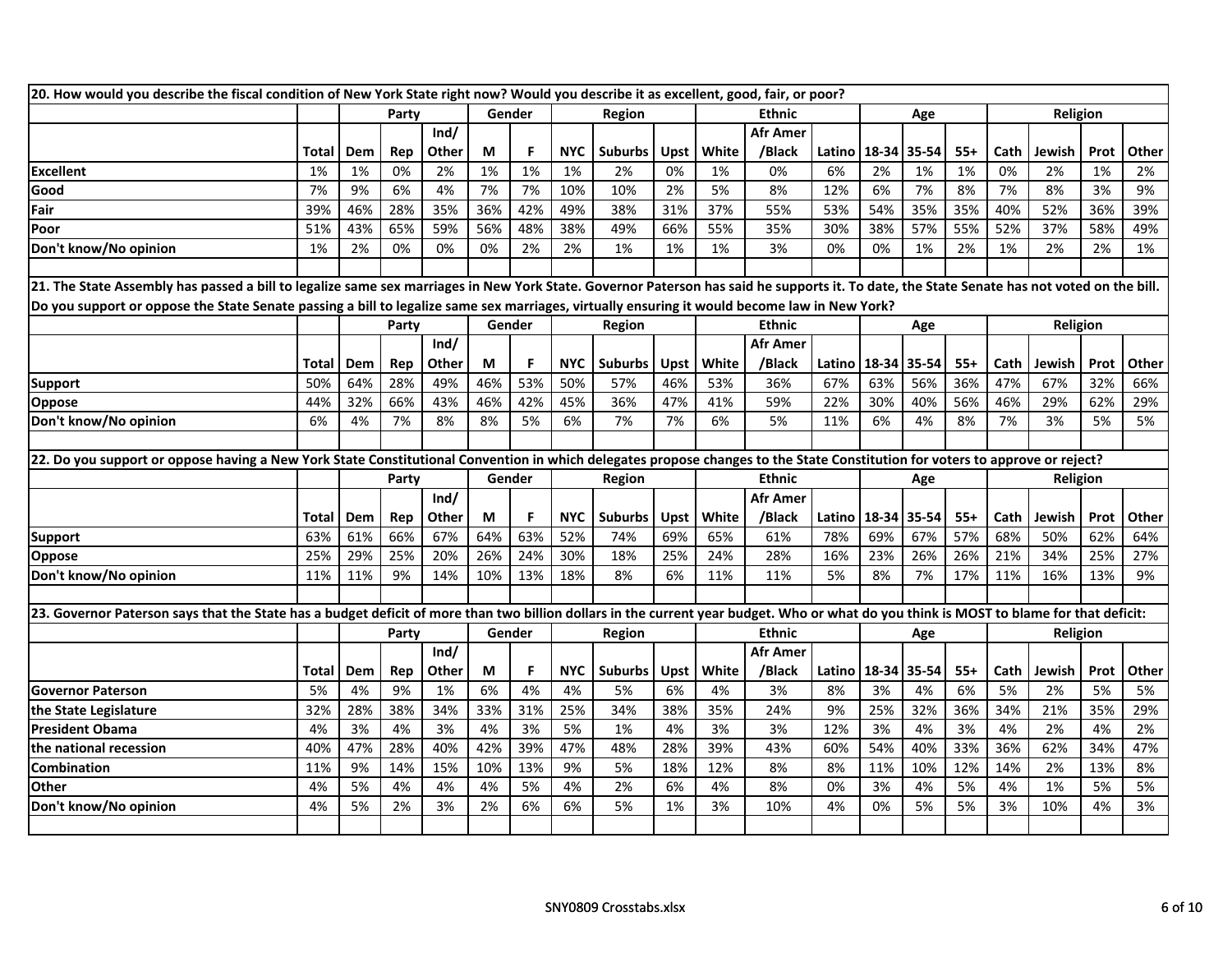| 20. How would you describe the fiscal condition of New York State right now? Would you describe it as excellent, good, fair, or poor?                                                      |       |     |       |       |     |        |            |                |             |       |                 |                        |             |       |       |      |                 |      |       |
|--------------------------------------------------------------------------------------------------------------------------------------------------------------------------------------------|-------|-----|-------|-------|-----|--------|------------|----------------|-------------|-------|-----------------|------------------------|-------------|-------|-------|------|-----------------|------|-------|
|                                                                                                                                                                                            |       |     | Party |       |     | Gender |            | Region         |             |       | <b>Ethnic</b>   |                        |             | Age   |       |      | Religion        |      |       |
|                                                                                                                                                                                            |       |     |       | Ind/  |     |        |            |                |             |       | Afr Amer        |                        |             |       |       |      |                 |      |       |
|                                                                                                                                                                                            | Total | Dem | Rep   | Other | M   | F      | <b>NYC</b> | <b>Suburbs</b> | <b>Upst</b> | White | /Black          | Latino 18-34           |             | 35-54 | $55+$ | Cath | Jewish          | Prot | Other |
| <b>Excellent</b>                                                                                                                                                                           | 1%    | 1%  | 0%    | 2%    | 1%  | 1%     | 1%         | 2%             | 0%          | 1%    | 0%              | 6%                     | 2%          | 1%    | 1%    | 0%   | 2%              | 1%   | 2%    |
| Good                                                                                                                                                                                       | 7%    | 9%  | 6%    | 4%    | 7%  | 7%     | 10%        | 10%            | 2%          | 5%    | 8%              | 12%                    | 6%          | 7%    | 8%    | 7%   | 8%              | 3%   | 9%    |
| Fair                                                                                                                                                                                       | 39%   | 46% | 28%   | 35%   | 36% | 42%    | 49%        | 38%            | 31%         | 37%   | 55%             | 53%                    | 54%         | 35%   | 35%   | 40%  | 52%             | 36%  | 39%   |
| Poor                                                                                                                                                                                       | 51%   | 43% | 65%   | 59%   | 56% | 48%    | 38%        | 49%            | 66%         | 55%   | 35%             | 30%                    | 38%         | 57%   | 55%   | 52%  | 37%             | 58%  | 49%   |
| Don't know/No opinion                                                                                                                                                                      | 1%    | 2%  | 0%    | 0%    | 0%  | 2%     | 2%         | 1%             | 1%          | 1%    | 3%              | 0%                     | 0%          | 1%    | 2%    | 1%   | 2%              | 2%   | 1%    |
|                                                                                                                                                                                            |       |     |       |       |     |        |            |                |             |       |                 |                        |             |       |       |      |                 |      |       |
| 21. The State Assembly has passed a bill to legalize same sex marriages in New York State. Governor Paterson has said he supports it. To date, the State Senate has not voted on the bill. |       |     |       |       |     |        |            |                |             |       |                 |                        |             |       |       |      |                 |      |       |
| Do you support or oppose the State Senate passing a bill to legalize same sex marriages, virtually ensuring it would become law in New York?                                               |       |     |       |       |     |        |            |                |             |       |                 |                        |             |       |       |      |                 |      |       |
|                                                                                                                                                                                            |       |     | Party |       |     | Gender |            | Region         |             |       | Ethnic          |                        |             | Age   |       |      | <b>Religion</b> |      |       |
|                                                                                                                                                                                            |       |     |       | Ind/  |     |        |            |                |             |       | <b>Afr Amer</b> |                        |             |       |       |      |                 |      |       |
|                                                                                                                                                                                            | Total | Dem | Rep   | Other | M   | F      | <b>NYC</b> | <b>Suburbs</b> | <b>Upst</b> | White | /Black          | Latino   18-34   35-54 |             |       | $55+$ | Cath | Jewish          | Prot | Other |
| <b>Support</b>                                                                                                                                                                             | 50%   | 64% | 28%   | 49%   | 46% | 53%    | 50%        | 57%            | 46%         | 53%   | 36%             | 67%                    | 63%         | 56%   | 36%   | 47%  | 67%             | 32%  | 66%   |
| Oppose                                                                                                                                                                                     | 44%   | 32% | 66%   | 43%   | 46% | 42%    | 45%        | 36%            | 47%         | 41%   | 59%             | 22%                    | 30%         | 40%   | 56%   | 46%  | 29%             | 62%  | 29%   |
| Don't know/No opinion                                                                                                                                                                      | 6%    | 4%  | 7%    | 8%    | 8%  | 5%     | 6%         | 7%             | 7%          | 6%    | 5%              | 11%                    | 6%          | 4%    | 8%    | 7%   | 3%              | 5%   | 5%    |
|                                                                                                                                                                                            |       |     |       |       |     |        |            |                |             |       |                 |                        |             |       |       |      |                 |      |       |
| 22. Do you support or oppose having a New York State Constitutional Convention in which delegates propose changes to the State Constitution for voters to approve or reject?               |       |     |       |       |     |        |            |                |             |       |                 |                        |             |       |       |      |                 |      |       |
|                                                                                                                                                                                            |       |     | Party |       |     | Gender |            | Region         |             |       | <b>Ethnic</b>   |                        |             | Age   |       |      | Religion        |      |       |
|                                                                                                                                                                                            |       |     |       | Ind/  |     |        |            |                |             |       | <b>Afr Amer</b> |                        |             |       |       |      |                 |      |       |
|                                                                                                                                                                                            | Total | Dem | Rep   | Other | M   | F.     | <b>NYC</b> | <b>Suburbs</b> | Upst        | White | /Black          | Latino   18-34   35-54 |             |       | $55+$ | Cath | Jewish          | Prot | Other |
| <b>Support</b>                                                                                                                                                                             | 63%   | 61% | 66%   | 67%   | 64% | 63%    | 52%        | 74%            | 69%         | 65%   | 61%             | 78%                    | 69%         | 67%   | 57%   | 68%  | 50%             | 62%  | 64%   |
| Oppose                                                                                                                                                                                     | 25%   | 29% | 25%   | 20%   | 26% | 24%    | 30%        | 18%            | 25%         | 24%   | 28%             | 16%                    | 23%         | 26%   | 26%   | 21%  | 34%             | 25%  | 27%   |
| Don't know/No opinion                                                                                                                                                                      | 11%   | 11% | 9%    | 14%   | 10% | 13%    | 18%        | 8%             | 6%          | 11%   | 11%             | 5%                     | 8%          | 7%    | 17%   | 11%  | 16%             | 13%  | 9%    |
|                                                                                                                                                                                            |       |     |       |       |     |        |            |                |             |       |                 |                        |             |       |       |      |                 |      |       |
| 23. Governor Paterson says that the State has a budget deficit of more than two billion dollars in the current year budget. Who or what do you think is MOST to blame for that deficit:    |       |     |       |       |     |        |            |                |             |       |                 |                        |             |       |       |      |                 |      |       |
|                                                                                                                                                                                            |       |     | Party |       |     | Gender |            | Region         |             |       | <b>Ethnic</b>   |                        |             | Age   |       |      | Religion        |      |       |
|                                                                                                                                                                                            |       |     |       | Ind/  |     |        |            |                |             |       | <b>Afr Amer</b> |                        |             |       |       |      |                 |      |       |
|                                                                                                                                                                                            | Total | Dem | Rep   | Other | M   | F.     | <b>NYC</b> | <b>Suburbs</b> | Upst        | White | /Black          | Latino                 | 18-34 35-54 |       | $55+$ | Cath | Jewish          | Prot | Other |
| <b>Governor Paterson</b>                                                                                                                                                                   | 5%    | 4%  | 9%    | 1%    | 6%  | 4%     | 4%         | 5%             | 6%          | 4%    | 3%              | 8%                     | 3%          | 4%    | 6%    | 5%   | 2%              | 5%   | 5%    |
| the State Legislature                                                                                                                                                                      | 32%   | 28% | 38%   | 34%   | 33% | 31%    | 25%        | 34%            | 38%         | 35%   | 24%             | 9%                     | 25%         | 32%   | 36%   | 34%  | 21%             | 35%  | 29%   |
| <b>President Obama</b>                                                                                                                                                                     | 4%    | 3%  | 4%    | 3%    | 4%  | 3%     | 5%         | 1%             | 4%          | 3%    | 3%              | 12%                    | 3%          | 4%    | 3%    | 4%   | 2%              | 4%   | 2%    |
|                                                                                                                                                                                            |       |     |       |       |     |        |            |                |             |       |                 |                        |             |       |       |      |                 |      |       |
| the national recession                                                                                                                                                                     | 40%   | 47% | 28%   | 40%   | 42% | 39%    | 47%        | 48%            | 28%         | 39%   | 43%             | 60%                    | 54%         | 40%   | 33%   | 36%  | 62%             | 34%  | 47%   |
| Combination                                                                                                                                                                                | 11%   | 9%  | 14%   | 15%   | 10% | 13%    | 9%         | 5%             | 18%         | 12%   | 8%              | 8%                     | 11%         | 10%   | 12%   | 14%  | 2%              | 13%  | 8%    |
| Other                                                                                                                                                                                      | 4%    | 5%  | 4%    | 4%    | 4%  | 5%     | 4%         | 2%             | 6%          | 4%    | 8%              | 0%                     | 3%          | 4%    | 5%    | 4%   | 1%              | 5%   | 5%    |
| Don't know/No opinion                                                                                                                                                                      | 4%    | 5%  | 2%    | 3%    | 2%  | 6%     | 6%         | 5%             | 1%          | 3%    | 10%             | 4%                     | 0%          | 5%    | 5%    | 3%   | 10%             | 4%   | 3%    |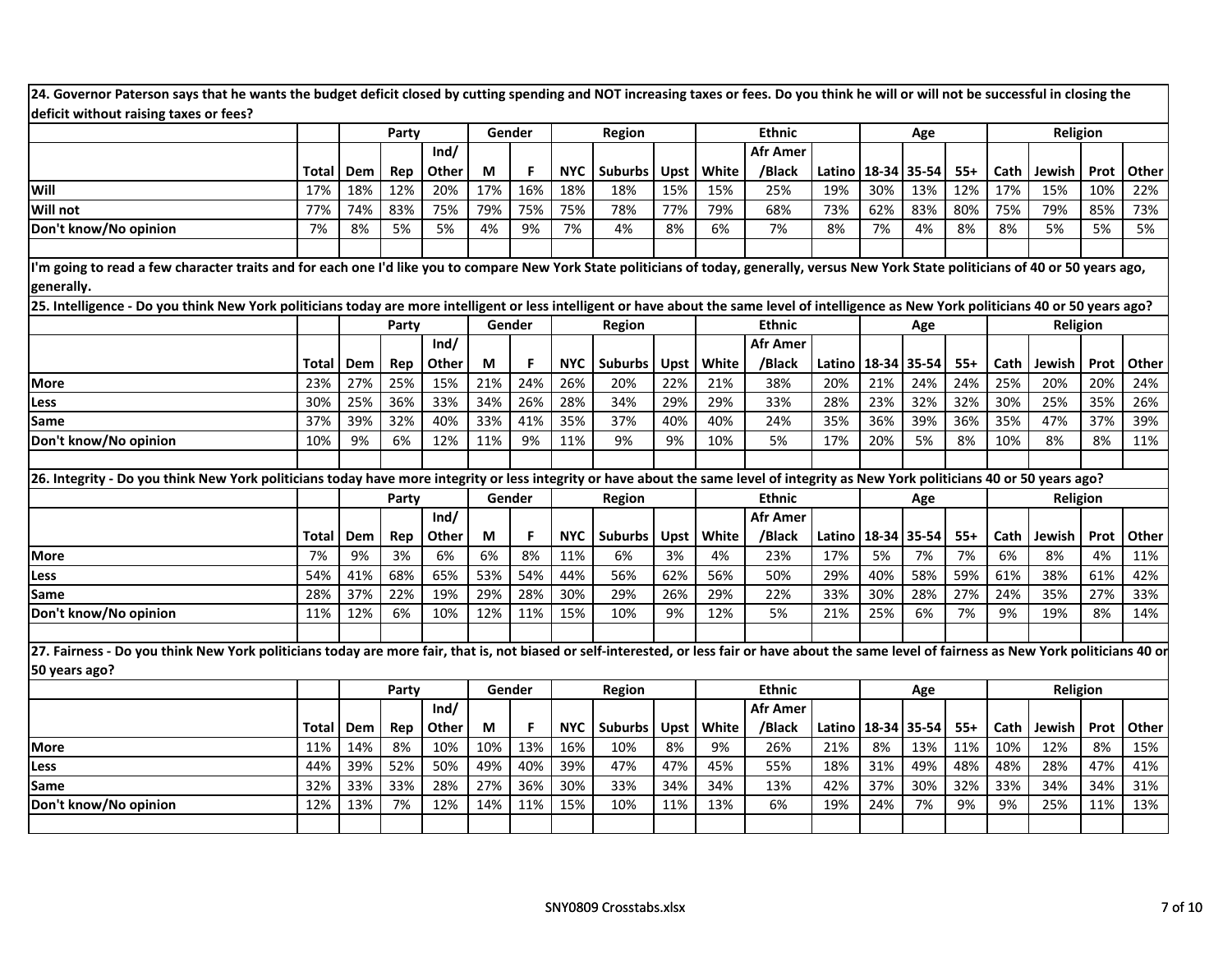| 24. Governor Paterson says that he wants the budget deficit closed by cutting spending and NOT increasing taxes or fees. Do you think he will or will not be successful in closing the            |                                                                                                                                                                                            |                                                                                                                                                                                              |       |       |     |        |            |               |             |       |                 |        |             |                        |       |      |          |      |       |
|---------------------------------------------------------------------------------------------------------------------------------------------------------------------------------------------------|--------------------------------------------------------------------------------------------------------------------------------------------------------------------------------------------|----------------------------------------------------------------------------------------------------------------------------------------------------------------------------------------------|-------|-------|-----|--------|------------|---------------|-------------|-------|-----------------|--------|-------------|------------------------|-------|------|----------|------|-------|
| deficit without raising taxes or fees?                                                                                                                                                            |                                                                                                                                                                                            |                                                                                                                                                                                              |       |       |     |        |            |               |             |       |                 |        |             |                        |       |      |          |      |       |
|                                                                                                                                                                                                   |                                                                                                                                                                                            |                                                                                                                                                                                              | Party |       |     | Gender |            | Region        |             |       | <b>Ethnic</b>   |        |             | Age                    |       |      | Religion |      |       |
|                                                                                                                                                                                                   |                                                                                                                                                                                            |                                                                                                                                                                                              |       | Ind/  |     |        |            |               |             |       | <b>Afr Amer</b> |        |             |                        |       |      |          |      |       |
|                                                                                                                                                                                                   | Total                                                                                                                                                                                      | Dem                                                                                                                                                                                          | Rep   | Other | M   |        | <b>NYC</b> | Suburbs       | Upst        | White | /Black          | Latino |             | 18-34 35-54            | $55+$ | Cath | Jewish   | Prot | Other |
| Will                                                                                                                                                                                              | 17%                                                                                                                                                                                        | 18%                                                                                                                                                                                          | 12%   | 20%   | 17% | 16%    | 18%        | 18%           | 15%         | 15%   | 25%             | 19%    | 30%         | 13%                    | 12%   | 17%  | 15%      | 10%  | 22%   |
| <b>Will not</b>                                                                                                                                                                                   | 77%                                                                                                                                                                                        | 74%                                                                                                                                                                                          | 83%   | 75%   | 79% | 75%    | 75%        | 78%           | 77%         | 79%   | 68%             | 73%    | 62%         | 83%                    | 80%   | 75%  | 79%      | 85%  | 73%   |
| Don't know/No opinion                                                                                                                                                                             | 7%                                                                                                                                                                                         | 8%                                                                                                                                                                                           | 5%    | 5%    | 4%  | 9%     | 7%         | 4%            | 8%          | 6%    | 7%              | 8%     | 7%          | 4%                     | 8%    | 8%   | 5%       | 5%   | 5%    |
|                                                                                                                                                                                                   |                                                                                                                                                                                            |                                                                                                                                                                                              |       |       |     |        |            |               |             |       |                 |        |             |                        |       |      |          |      |       |
| generally.                                                                                                                                                                                        | I'm going to read a few character traits and for each one I'd like you to compare New York State politicians of today, generally, versus New York State politicians of 40 or 50 years ago, |                                                                                                                                                                                              |       |       |     |        |            |               |             |       |                 |        |             |                        |       |      |          |      |       |
|                                                                                                                                                                                                   |                                                                                                                                                                                            | 25. Intelligence - Do you think New York politicians today are more intelligent or less intelligent or have about the same level of intelligence as New York politicians 40 or 50 years ago? |       |       |     |        |            |               |             |       |                 |        |             |                        |       |      |          |      |       |
|                                                                                                                                                                                                   |                                                                                                                                                                                            |                                                                                                                                                                                              | Party |       |     | Gender |            | Region        |             |       | <b>Ethnic</b>   |        |             | Age                    |       |      | Religion |      |       |
|                                                                                                                                                                                                   |                                                                                                                                                                                            |                                                                                                                                                                                              |       | Ind/  |     |        |            |               |             |       | <b>Afr Amer</b> |        |             |                        |       |      |          |      |       |
|                                                                                                                                                                                                   | Total                                                                                                                                                                                      | Dem                                                                                                                                                                                          | Rep   | Other | М   | F      | <b>NYC</b> | Suburbs       | <b>Upst</b> | White | /Black          | Latino | 18-34 35-54 |                        | $55+$ | Cath | Jewish   | Prot | Other |
| <b>More</b>                                                                                                                                                                                       | 23%                                                                                                                                                                                        | 27%                                                                                                                                                                                          | 25%   | 15%   | 21% | 24%    | 26%        | 20%           | 22%         | 21%   | 38%             | 20%    | 21%         | 24%                    | 24%   | 25%  | 20%      | 20%  | 24%   |
| Less                                                                                                                                                                                              | 30%                                                                                                                                                                                        | 25%                                                                                                                                                                                          | 36%   | 33%   | 34% | 26%    | 28%        | 34%           | 29%         | 29%   | 33%             | 28%    | 23%         | 32%                    | 32%   | 30%  | 25%      | 35%  | 26%   |
| <b>Same</b>                                                                                                                                                                                       | 37%                                                                                                                                                                                        | 39%                                                                                                                                                                                          | 32%   | 40%   | 33% | 41%    | 35%        | 37%           | 40%         | 40%   | 24%             | 35%    | 36%         | 39%                    | 36%   | 35%  | 47%      | 37%  | 39%   |
| Don't know/No opinion                                                                                                                                                                             | 10%                                                                                                                                                                                        | 9%                                                                                                                                                                                           | 6%    | 12%   | 11% | 9%     | 11%        | 9%            | 9%          | 10%   | 5%              | 17%    | 20%         | 5%                     | 8%    | 10%  | 8%       | 8%   | 11%   |
|                                                                                                                                                                                                   |                                                                                                                                                                                            |                                                                                                                                                                                              |       |       |     |        |            |               |             |       |                 |        |             |                        |       |      |          |      |       |
| 26. Integrity - Do you think New York politicians today have more integrity or less integrity or have about the same level of integrity as New York politicians 40 or 50 years ago?               |                                                                                                                                                                                            |                                                                                                                                                                                              |       |       |     |        |            |               |             |       |                 |        |             |                        |       |      |          |      |       |
|                                                                                                                                                                                                   |                                                                                                                                                                                            |                                                                                                                                                                                              | Party |       |     | Gender |            | Region        |             |       | <b>Ethnic</b>   |        |             | Age                    |       |      | Religion |      |       |
|                                                                                                                                                                                                   |                                                                                                                                                                                            |                                                                                                                                                                                              |       | Ind/  |     |        |            |               |             |       | <b>Afr Amer</b> |        |             |                        |       |      |          |      |       |
|                                                                                                                                                                                                   | Total                                                                                                                                                                                      | Dem                                                                                                                                                                                          | Rep   | Other | М   | F      | <b>NYC</b> | Suburbs       | Upst        | White | /Black          |        |             | Latino   18-34   35-54 | $55+$ | Cath | Jewish   | Prot | Other |
| <b>More</b>                                                                                                                                                                                       | 7%                                                                                                                                                                                         | 9%                                                                                                                                                                                           | 3%    | 6%    | 6%  | 8%     | 11%        | 6%            | 3%          | 4%    | 23%             | 17%    | 5%          | 7%                     | 7%    | 6%   | 8%       | 4%   | 11%   |
| Less                                                                                                                                                                                              | 54%                                                                                                                                                                                        | 41%                                                                                                                                                                                          | 68%   | 65%   | 53% | 54%    | 44%        | 56%           | 62%         | 56%   | 50%             | 29%    | 40%         | 58%                    | 59%   | 61%  | 38%      | 61%  | 42%   |
| <b>Same</b>                                                                                                                                                                                       | 28%                                                                                                                                                                                        | 37%                                                                                                                                                                                          | 22%   | 19%   | 29% | 28%    | 30%        | 29%           | 26%         | 29%   | 22%             | 33%    | 30%         | 28%                    | 27%   | 24%  | 35%      | 27%  | 33%   |
| Don't know/No opinion                                                                                                                                                                             | 11%                                                                                                                                                                                        | 12%                                                                                                                                                                                          | 6%    | 10%   | 12% | 11%    | 15%        | 10%           | 9%          | 12%   | 5%              | 21%    | 25%         | 6%                     | 7%    | 9%   | 19%      | 8%   | 14%   |
| 27. Fairness - Do you think New York politicians today are more fair, that is, not biased or self-interested, or less fair or have about the same level of fairness as New York politicians 40 or |                                                                                                                                                                                            |                                                                                                                                                                                              |       |       |     |        |            |               |             |       |                 |        |             |                        |       |      |          |      |       |
| 50 years ago?                                                                                                                                                                                     |                                                                                                                                                                                            |                                                                                                                                                                                              |       |       |     |        |            |               |             |       |                 |        |             |                        |       |      |          |      |       |
|                                                                                                                                                                                                   |                                                                                                                                                                                            |                                                                                                                                                                                              | Party |       |     | Gender |            | <b>Region</b> |             |       | <b>Ethnic</b>   |        |             | Age                    |       |      | Religion |      |       |
|                                                                                                                                                                                                   |                                                                                                                                                                                            |                                                                                                                                                                                              |       | Ind/  |     |        |            |               |             |       | <b>Afr Amer</b> |        |             |                        |       |      |          |      |       |
|                                                                                                                                                                                                   | Total                                                                                                                                                                                      | Dem                                                                                                                                                                                          | Rep   | Other | М   |        | <b>NYC</b> | Suburbs       | Upst        | White | /Black          | Latino |             | 18-34 35-54            | $55+$ | Cath | Jewish   | Prot | Other |
| <b>More</b>                                                                                                                                                                                       | 11%                                                                                                                                                                                        | 14%                                                                                                                                                                                          | 8%    | 10%   | 10% | 13%    | 16%        | 10%           | 8%          | 9%    | 26%             | 21%    | 8%          | 13%                    | 11%   | 10%  | 12%      | 8%   | 15%   |
| Less                                                                                                                                                                                              | 44%                                                                                                                                                                                        | 39%                                                                                                                                                                                          | 52%   | 50%   | 49% | 40%    | 39%        | 47%           | 47%         | 45%   | 55%             | 18%    | 31%         | 49%                    | 48%   | 48%  | 28%      | 47%  | 41%   |
| Same                                                                                                                                                                                              | 32%                                                                                                                                                                                        | 33%                                                                                                                                                                                          | 33%   | 28%   | 27% | 36%    | 30%        | 33%           | 34%         | 34%   | 13%             | 42%    | 37%         | 30%                    | 32%   | 33%  | 34%      | 34%  | 31%   |
| Don't know/No opinion                                                                                                                                                                             | 12%                                                                                                                                                                                        | 13%                                                                                                                                                                                          | 7%    | 12%   | 14% | 11%    | 15%        | 10%           | 11%         | 13%   | 6%              | 19%    | 24%         | 7%                     | 9%    | 9%   | 25%      | 11%  | 13%   |
|                                                                                                                                                                                                   |                                                                                                                                                                                            |                                                                                                                                                                                              |       |       |     |        |            |               |             |       |                 |        |             |                        |       |      |          |      |       |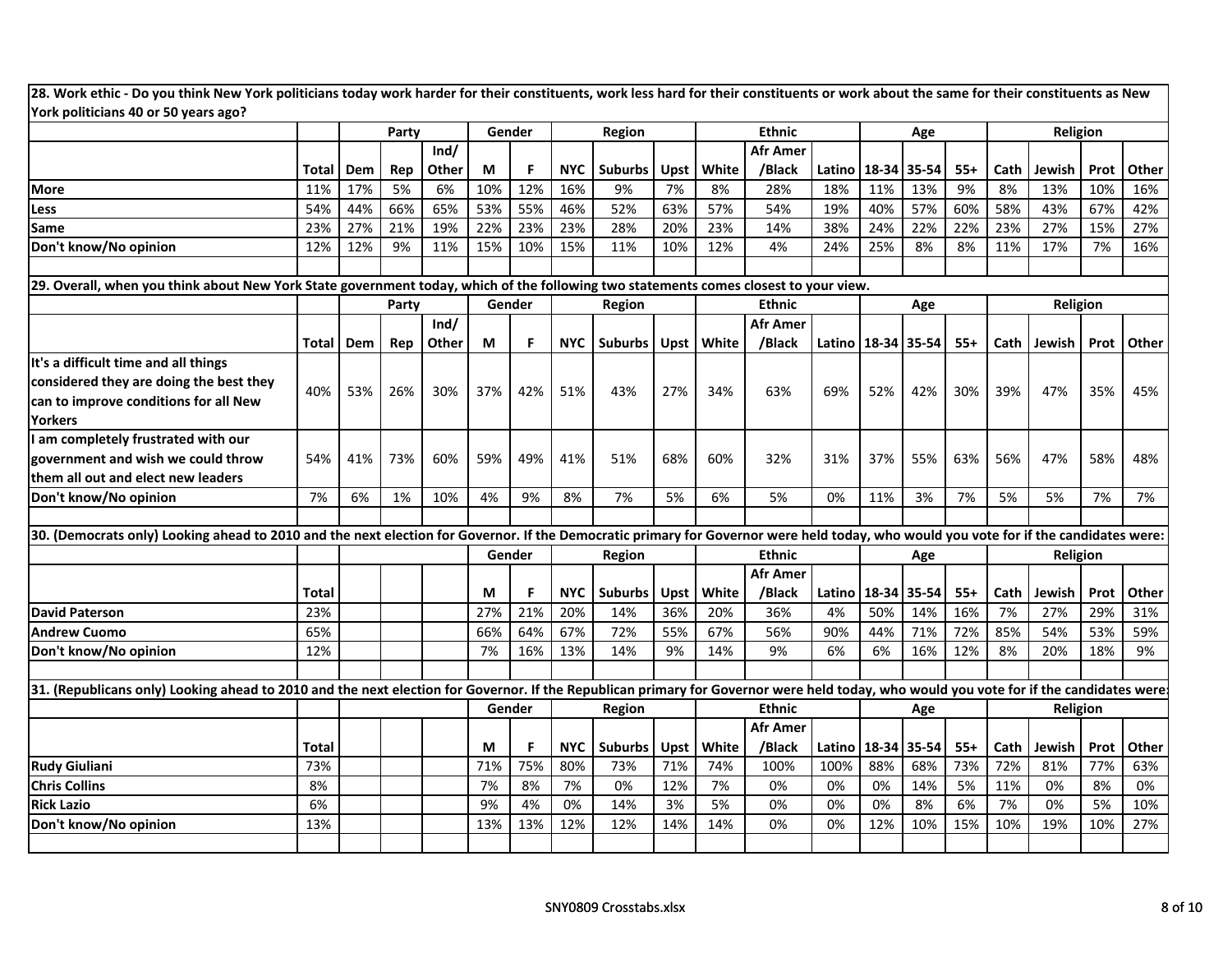| York politicians 40 or 50 years ago?                                                                                                                                                   |              |     |       |              |        |     |            |                |             |       |                 |                        |       |           |       |      |                 |      |       |
|----------------------------------------------------------------------------------------------------------------------------------------------------------------------------------------|--------------|-----|-------|--------------|--------|-----|------------|----------------|-------------|-------|-----------------|------------------------|-------|-----------|-------|------|-----------------|------|-------|
|                                                                                                                                                                                        |              |     | Party |              | Gender |     |            | Region         |             |       | <b>Ethnic</b>   |                        |       | Age       |       |      | Religion        |      |       |
|                                                                                                                                                                                        |              |     |       | Ind/         |        |     |            |                |             |       | <b>Afr Amer</b> |                        |       |           |       |      |                 |      |       |
|                                                                                                                                                                                        | Total        | Dem | Rep   | <b>Other</b> | М      | F   | <b>NYC</b> | <b>Suburbs</b> | <b>Upst</b> | White | /Black          | Latino                 | 18-34 | 35-54     | $55+$ | Cath | Jewish          | Prot | Other |
| <b>More</b>                                                                                                                                                                            | 11%          | 17% | 5%    | 6%           | 10%    | 12% | 16%        | 9%             | 7%          | 8%    | 28%             | 18%                    | 11%   | 13%       | 9%    | 8%   | 13%             | 10%  | 16%   |
| Less                                                                                                                                                                                   | 54%          | 44% | 66%   | 65%          | 53%    | 55% | 46%        | 52%            | 63%         | 57%   | 54%             | 19%                    | 40%   | 57%       | 60%   | 58%  | 43%             | 67%  | 42%   |
| Same                                                                                                                                                                                   | 23%          | 27% | 21%   | 19%          | 22%    | 23% | 23%        | 28%            | 20%         | 23%   | 14%             | 38%                    | 24%   | 22%       | 22%   | 23%  | 27%             | 15%  | 27%   |
| Don't know/No opinion                                                                                                                                                                  | 12%          | 12% | 9%    | 11%          | 15%    | 10% | 15%        | 11%            | 10%         | 12%   | 4%              | 24%                    | 25%   | 8%        | 8%    | 11%  | 17%             | 7%   | 16%   |
| 29. Overall, when you think about New York State government today, which of the following two statements comes closest to your view.                                                   |              |     |       |              |        |     |            |                |             |       |                 |                        |       |           |       |      |                 |      |       |
|                                                                                                                                                                                        |              |     | Party |              | Gender |     |            | Region         |             |       | <b>Ethnic</b>   |                        |       | Age       |       |      | Religion        |      |       |
|                                                                                                                                                                                        |              |     |       | Ind/         |        |     |            |                |             |       | Afr Amer        |                        |       |           |       |      |                 |      |       |
|                                                                                                                                                                                        | Total        | Dem | Rep   | Other        | М      | F   | <b>NYC</b> | Suburbs        | Upst        | White | /Black          | Latino   18-34   35-54 |       |           | $55+$ | Cath | Jewish          | Prot | Other |
| It's a difficult time and all things                                                                                                                                                   |              |     |       |              |        |     |            |                |             |       |                 |                        |       |           |       |      |                 |      |       |
| considered they are doing the best they                                                                                                                                                |              |     |       |              |        |     |            |                |             |       |                 |                        |       |           |       |      |                 |      |       |
| can to improve conditions for all New                                                                                                                                                  | 40%          | 53% | 26%   | 30%          | 37%    | 42% | 51%        | 43%            | 27%         | 34%   | 63%             | 69%                    | 52%   | 42%       | 30%   | 39%  | 47%             | 35%  | 45%   |
| <b>Yorkers</b>                                                                                                                                                                         |              |     |       |              |        |     |            |                |             |       |                 |                        |       |           |       |      |                 |      |       |
| I am completely frustrated with our                                                                                                                                                    |              |     |       |              |        |     |            |                |             |       |                 |                        |       |           |       |      |                 |      |       |
| government and wish we could throw                                                                                                                                                     | 54%          | 41% | 73%   | 60%          | 59%    | 49% | 41%        | 51%            | 68%         | 60%   | 32%             | 31%                    | 37%   | 55%       | 63%   | 56%  | 47%             | 58%  | 48%   |
| them all out and elect new leaders                                                                                                                                                     |              |     |       |              |        |     |            |                |             |       |                 |                        |       |           |       |      |                 |      |       |
| Don't know/No opinion                                                                                                                                                                  | 7%           | 6%  | 1%    | 10%          | 4%     | 9%  | 8%         | 7%             | 5%          | 6%    | 5%              | 0%                     | 11%   | 3%        | 7%    | 5%   | 5%              | 7%   | 7%    |
|                                                                                                                                                                                        |              |     |       |              |        |     |            |                |             |       |                 |                        |       |           |       |      |                 |      |       |
| 30. (Democrats only) Looking ahead to 2010 and the next election for Governor. If the Democratic primary for Governor were held today, who would you vote for if the candidates were:  |              |     |       |              |        |     |            |                |             |       |                 |                        |       |           |       |      |                 |      |       |
|                                                                                                                                                                                        |              |     |       |              | Gender |     |            | Region         |             |       | <b>Ethnic</b>   |                        |       | Age       |       |      | <b>Religion</b> |      |       |
|                                                                                                                                                                                        |              |     |       |              |        |     |            |                |             |       | <b>Afr Amer</b> |                        |       |           |       |      |                 |      |       |
|                                                                                                                                                                                        | <b>Total</b> |     |       |              | М      | F   | <b>NYC</b> | Suburbs        | <b>Upst</b> | White | /Black          | Latino                 | 18-34 | 35-54     | $55+$ | Cath | Jewish          | Prot | Other |
| <b>David Paterson</b>                                                                                                                                                                  | 23%          |     |       |              | 27%    | 21% | 20%        | 14%            | 36%         | 20%   | 36%             | 4%                     | 50%   | 14%       | 16%   | 7%   | 27%             | 29%  | 31%   |
| <b>Andrew Cuomo</b>                                                                                                                                                                    | 65%          |     |       |              | 66%    | 64% | 67%        | 72%            | 55%         | 67%   | 56%             | 90%                    | 44%   | 71%       | 72%   | 85%  | 54%             | 53%  | 59%   |
| Don't know/No opinion                                                                                                                                                                  | 12%          |     |       |              | 7%     | 16% | 13%        | 14%            | 9%          | 14%   | 9%              | 6%                     | 6%    | 16%       | 12%   | 8%   | 20%             | 18%  | 9%    |
| 31. (Republicans only) Looking ahead to 2010 and the next election for Governor. If the Republican primary for Governor were held today, who would you vote for if the candidates were |              |     |       |              |        |     |            |                |             |       |                 |                        |       |           |       |      |                 |      |       |
|                                                                                                                                                                                        |              |     |       |              | Gender |     |            | Region         |             |       | <b>Ethnic</b>   |                        |       | Age       |       |      | Religion        |      |       |
|                                                                                                                                                                                        |              |     |       |              |        |     |            |                |             |       | Afr Amer        |                        |       |           |       |      |                 |      |       |
|                                                                                                                                                                                        | <b>Total</b> |     |       |              | М      |     | <b>NYC</b> | <b>Suburbs</b> | Upst        | White | /Black          | Latino                 | 18-34 | $35 - 54$ | $55+$ | Cath | Jewish          | Prot | Other |
| <b>Rudy Giuliani</b>                                                                                                                                                                   | 73%          |     |       |              | 71%    | 75% | 80%        | 73%            | 71%         | 74%   | 100%            | 100%                   | 88%   | 68%       | 73%   | 72%  | 81%             | 77%  | 63%   |
| <b>Chris Collins</b>                                                                                                                                                                   | 8%           |     |       |              | 7%     | 8%  | 7%         | 0%             | 12%         | 7%    | 0%              | 0%                     | 0%    | 14%       | 5%    | 11%  | 0%              | 8%   | 0%    |
| <b>Rick Lazio</b>                                                                                                                                                                      | 6%           |     |       |              | 9%     | 4%  | 0%         | 14%            | 3%          | 5%    | 0%              | 0%                     | 0%    | 8%        | 6%    | 7%   | 0%              | 5%   | 10%   |
| Don't know/No opinion                                                                                                                                                                  | 13%          |     |       |              | 13%    | 13% | 12%        | 12%            | 14%         | 14%   | 0%              | 0%                     | 12%   | 10%       | 15%   | 10%  | 19%             | 10%  | 27%   |

**for their constituents as New28. Work ethic ‐ Do**o you think New York politicians today work harder for their constituents, work less hard for their constituents or work about the same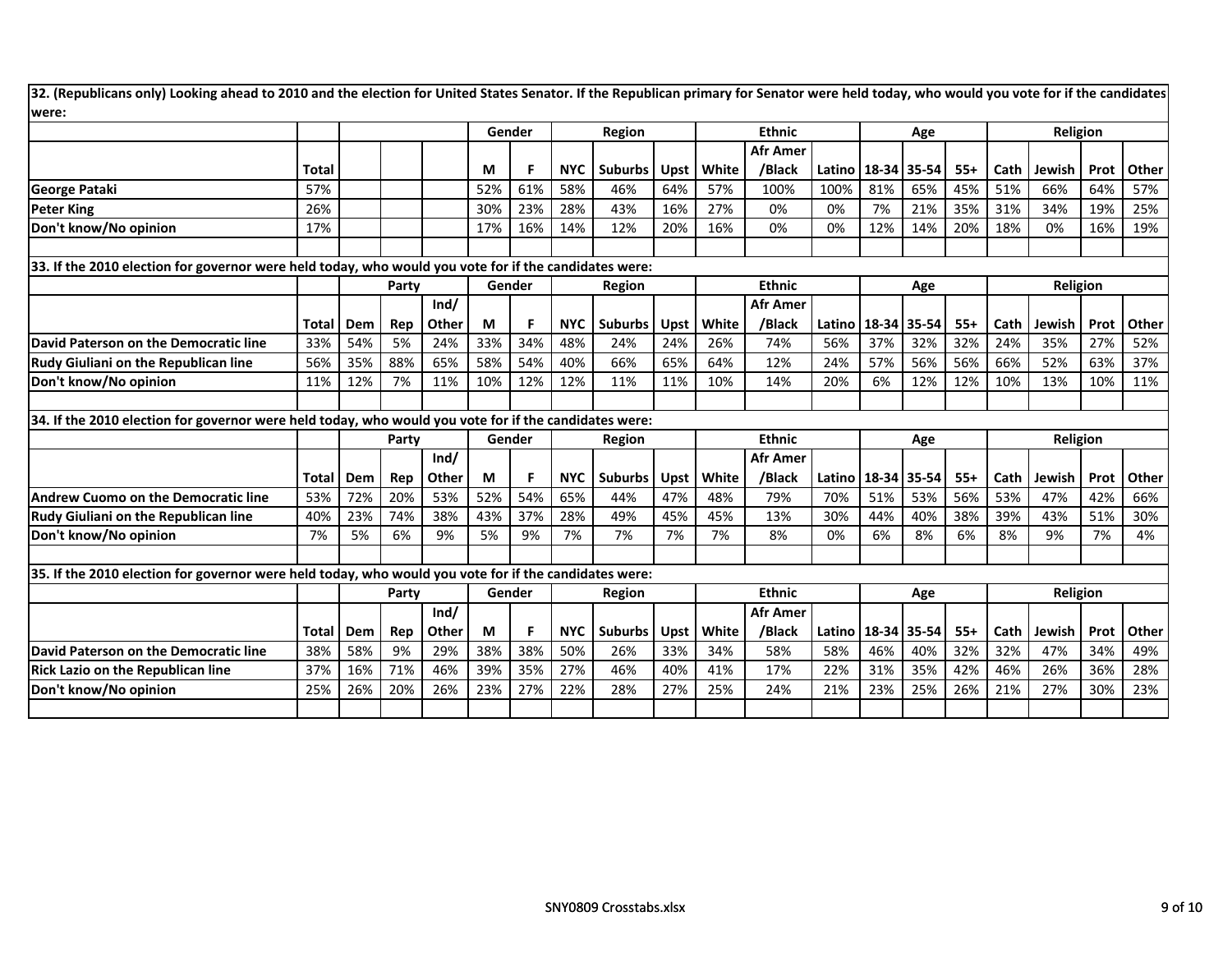| 32. (Republicans only) Looking ahead to 2010 and the election for United States Senator. If the Republican primary for Senator were held today, who would you vote for if the candidates<br>were: |              |     |       |       |     |        |            |                |      |       |                                  |                        |             |     |       |      |          |      |       |
|---------------------------------------------------------------------------------------------------------------------------------------------------------------------------------------------------|--------------|-----|-------|-------|-----|--------|------------|----------------|------|-------|----------------------------------|------------------------|-------------|-----|-------|------|----------|------|-------|
|                                                                                                                                                                                                   |              |     |       |       |     | Gender |            | Region         |      |       | <b>Ethnic</b>                    |                        |             | Age |       |      | Religion |      |       |
|                                                                                                                                                                                                   | <b>Total</b> |     |       |       | М   |        |            | NYC   Suburbs  | Upst | White | <b>Afr Amer</b><br>/Black        | Latino                 | 18-34 35-54 |     | $55+$ | Cath | Jewish   | Prot | Other |
| George Pataki                                                                                                                                                                                     | 57%          |     |       |       | 52% | 61%    | 58%        | 46%            | 64%  | 57%   | 100%                             | 100%                   | 81%         | 65% | 45%   | 51%  | 66%      | 64%  | 57%   |
| <b>Peter King</b>                                                                                                                                                                                 | 26%          |     |       |       | 30% | 23%    | 28%        | 43%            | 16%  | 27%   | 0%                               | 0%                     | 7%          | 21% | 35%   | 31%  | 34%      | 19%  | 25%   |
| Don't know/No opinion                                                                                                                                                                             | 17%          |     |       |       | 17% | 16%    | 14%        | 12%            | 20%  | 16%   | 0%                               | 0%                     | 12%         | 14% | 20%   | 18%  | 0%       | 16%  | 19%   |
|                                                                                                                                                                                                   |              |     |       |       |     |        |            |                |      |       |                                  |                        |             |     |       |      |          |      |       |
| 33. If the 2010 election for governor were held today, who would you vote for if the candidates were:                                                                                             |              |     |       |       |     |        |            |                |      |       |                                  |                        |             |     |       |      |          |      |       |
|                                                                                                                                                                                                   |              |     | Party |       |     | Gender |            | Region         |      |       | <b>Ethnic</b>                    |                        |             | Age |       |      | Religion |      |       |
|                                                                                                                                                                                                   |              |     |       | Ind/  |     |        |            |                |      |       | <b>Afr Amer</b>                  |                        |             |     |       |      |          |      |       |
|                                                                                                                                                                                                   | Total        | Dem | Rep   | Other | М   |        | <b>NYC</b> | Suburbs I      | Upst | White | /Black                           | Latino                 | 18-34 35-54 |     | $55+$ | Cath | Jewish   | Prot | Other |
| David Paterson on the Democratic line                                                                                                                                                             | 33%          | 54% | 5%    | 24%   | 33% | 34%    | 48%        | 24%            | 24%  | 26%   | 74%                              | 56%                    | 37%         | 32% | 32%   | 24%  | 35%      | 27%  | 52%   |
| <b>Rudy Giuliani on the Republican line</b>                                                                                                                                                       | 56%          | 35% | 88%   | 65%   | 58% | 54%    | 40%        | 66%            | 65%  | 64%   | 12%                              | 24%                    | 57%         | 56% | 56%   | 66%  | 52%      | 63%  | 37%   |
| Don't know/No opinion                                                                                                                                                                             | 11%          | 12% | 7%    | 11%   | 10% | 12%    | 12%        | 11%            | 11%  | 10%   | 14%                              | 20%                    | 6%          | 12% | 12%   | 10%  | 13%      | 10%  | 11%   |
|                                                                                                                                                                                                   |              |     |       |       |     |        |            |                |      |       |                                  |                        |             |     |       |      |          |      |       |
| 34. If the 2010 election for governor were held today, who would you vote for if the candidates were:                                                                                             |              |     |       |       |     |        |            |                |      |       |                                  |                        |             |     |       |      |          |      |       |
|                                                                                                                                                                                                   |              |     | Party |       |     | Gender |            | Region         |      |       | <b>Ethnic</b>                    |                        |             | Age |       |      | Religion |      |       |
|                                                                                                                                                                                                   |              |     |       | Ind/  |     |        |            |                |      |       | Afr Amer                         |                        |             |     |       |      |          |      |       |
|                                                                                                                                                                                                   | <b>Total</b> | Dem | Rep   | Other | M   | F      | <b>NYC</b> | <b>Suburbs</b> | Upst | White | /Black                           | Latino                 | 18-34 35-54 |     | $55+$ | Cath | Jewish   | Prot | Other |
| <b>Andrew Cuomo on the Democratic line</b>                                                                                                                                                        | 53%          | 72% | 20%   | 53%   | 52% | 54%    | 65%        | 44%            | 47%  | 48%   | 79%                              | 70%                    | 51%         | 53% | 56%   | 53%  | 47%      | 42%  | 66%   |
| <b>Rudy Giuliani on the Republican line</b>                                                                                                                                                       | 40%          | 23% | 74%   | 38%   | 43% | 37%    | 28%        | 49%            | 45%  | 45%   | 13%                              | 30%                    | 44%         | 40% | 38%   | 39%  | 43%      | 51%  | 30%   |
| Don't know/No opinion                                                                                                                                                                             | 7%           | 5%  | 6%    | 9%    | 5%  | 9%     | 7%         | 7%             | 7%   | 7%    | 8%                               | 0%                     | 6%          | 8%  | 6%    | 8%   | 9%       | 7%   | 4%    |
|                                                                                                                                                                                                   |              |     |       |       |     |        |            |                |      |       |                                  |                        |             |     |       |      |          |      |       |
| 35. If the 2010 election for governor were held today, who would you vote for if the candidates were:                                                                                             |              |     |       |       |     |        |            |                |      |       |                                  |                        |             |     |       |      |          |      |       |
|                                                                                                                                                                                                   |              |     | Party | Ind/  |     | Gender |            | Region         |      |       | <b>Ethnic</b><br><b>Afr Amer</b> |                        |             | Age |       |      | Religion |      |       |
|                                                                                                                                                                                                   | <b>Total</b> | Dem | Rep   | Other | M   | F      | <b>NYC</b> | Suburbs        | Upst | White | /Black                           | Latino   18-34   35-54 |             |     | $55+$ | Cath | Jewish   | Prot | Other |
| David Paterson on the Democratic line                                                                                                                                                             | 38%          | 58% | 9%    | 29%   | 38% | 38%    | 50%        | 26%            | 33%  | 34%   | 58%                              | 58%                    | 46%         | 40% | 32%   | 32%  | 47%      | 34%  | 49%   |
| <b>Rick Lazio on the Republican line</b>                                                                                                                                                          | 37%          | 16% | 71%   | 46%   | 39% | 35%    | 27%        | 46%            | 40%  | 41%   | 17%                              | 22%                    | 31%         | 35% | 42%   | 46%  | 26%      | 36%  | 28%   |
| Don't know/No opinion                                                                                                                                                                             | 25%          | 26% | 20%   | 26%   | 23% | 27%    | 22%        | 28%            | 27%  | 25%   | 24%                              | 21%                    | 23%         | 25% | 26%   | 21%  | 27%      | 30%  | 23%   |
|                                                                                                                                                                                                   |              |     |       |       |     |        |            |                |      |       |                                  |                        |             |     |       |      |          |      |       |